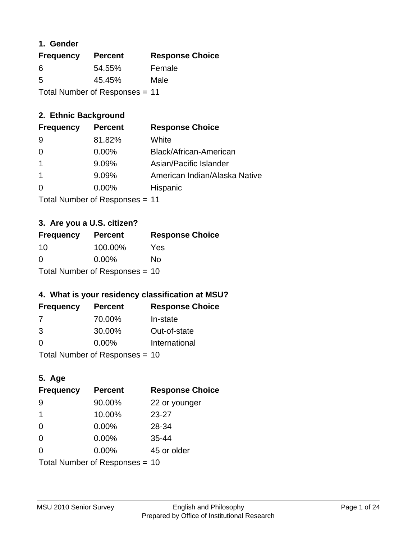## **1. Gender**

| <b>Frequency</b>               | <b>Percent</b> | <b>Response Choice</b> |
|--------------------------------|----------------|------------------------|
| 6                              | 54.55%         | Female                 |
| 5                              | 45.45%         | Male                   |
| Total Number of Responses = 11 |                |                        |

## **2. Ethnic Background**

| <b>Frequency</b> | <b>Percent</b> | <b>Response Choice</b>        |
|------------------|----------------|-------------------------------|
| 9                | 81.82%         | White                         |
| $\Omega$         | $0.00\%$       | Black/African-American        |
|                  | 9.09%          | Asian/Pacific Islander        |
|                  | 9.09%          | American Indian/Alaska Native |
| 0                | $0.00\%$       | Hispanic                      |
|                  |                |                               |

Total Number of Responses = 11

## **3. Are you a U.S. citizen?**

| <b>Frequency</b>               | <b>Percent</b> | <b>Response Choice</b> |
|--------------------------------|----------------|------------------------|
| -10                            | 100.00%        | Yes                    |
| $\Omega$                       | $0.00\%$       | Nο                     |
| Total Number of Responses = 10 |                |                        |

## **4. What is your residency classification at MSU?**

| <b>Frequency</b> | <b>Percent</b> | <b>Response Choice</b> |
|------------------|----------------|------------------------|
| 7                | 70.00%         | In-state               |
| 3                | 30.00%         | Out-of-state           |
| $\Omega$         | $0.00\%$       | International          |
|                  |                |                        |

Total Number of Responses = 10

## **5. Age**

| <b>Frequency</b>               | <b>Percent</b> | <b>Response Choice</b> |
|--------------------------------|----------------|------------------------|
| -9                             | 90.00%         | 22 or younger          |
| 1                              | 10.00%         | $23 - 27$              |
| $\overline{0}$                 | 0.00%          | 28-34                  |
| $\Omega$                       | 0.00%          | $35 - 44$              |
| $\Omega$                       | 0.00%          | 45 or older            |
| Total Number of Responses = 10 |                |                        |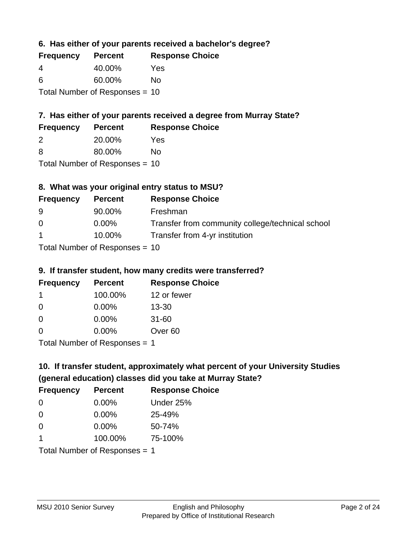**6. Has either of your parents received a bachelor's degree?**

| <b>Frequency</b> | <b>Percent</b>                   | <b>Response Choice</b> |
|------------------|----------------------------------|------------------------|
| 4                | 40.00%                           | Yes                    |
| 6                | 60.00%                           | Nο                     |
|                  | Total Number of Responses $= 10$ |                        |

## **7. Has either of your parents received a degree from Murray State?**

| <b>Frequency</b> | <b>Percent</b> | <b>Response Choice</b> |
|------------------|----------------|------------------------|
| -2               | 20.00%         | Yes                    |
| -8               | 80.00%         | No.                    |

Total Number of Responses = 10

## **8. What was your original entry status to MSU?**

| <b>Frequency</b>                  | <b>Percent</b> | <b>Response Choice</b>                           |
|-----------------------------------|----------------|--------------------------------------------------|
| -9                                | 90.00%         | Freshman                                         |
| $\Omega$                          | $0.00\%$       | Transfer from community college/technical school |
| $\overline{1}$                    | 10.00%         | Transfer from 4-yr institution                   |
| $Total Number of DoEROR 202 - 40$ |                |                                                  |

Total Number of Responses = 10

### **9. If transfer student, how many credits were transferred?**

| <b>Frequency</b>              | <b>Percent</b> | <b>Response Choice</b> |
|-------------------------------|----------------|------------------------|
| 1                             | 100.00%        | 12 or fewer            |
| 0                             | $0.00\%$       | $13 - 30$              |
| 0                             | 0.00%          | $31 - 60$              |
| $\Omega$                      | 0.00%          | Over <sub>60</sub>     |
| Total Number of Poenances - 1 |                |                        |

I otal Number of Responses = 1

# **10. If transfer student, approximately what percent of your University Studies (general education) classes did you take at Murray State?**

| <b>Frequency</b>                | <b>Percent</b> | <b>Response Choice</b> |
|---------------------------------|----------------|------------------------|
| $\Omega$                        | $0.00\%$       | Under 25%              |
| $\Omega$                        | 0.00%          | 25-49%                 |
| $\Omega$                        | 0.00%          | 50-74%                 |
| 1                               | 100.00%        | 75-100%                |
| Total Number of Responses $= 1$ |                |                        |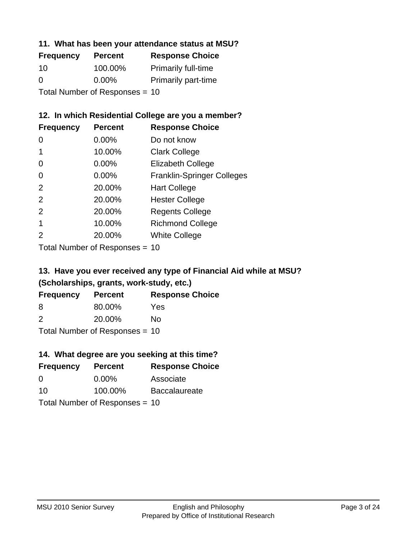### **11. What has been your attendance status at MSU?**

| <b>Frequency</b>               | <b>Percent</b> | <b>Response Choice</b>     |
|--------------------------------|----------------|----------------------------|
| 10                             | 100.00%        | <b>Primarily full-time</b> |
| 0                              | $0.00\%$       | <b>Primarily part-time</b> |
| Total Number of Responses = 10 |                |                            |

## **12. In which Residential College are you a member?**

| <b>Frequency</b> | <b>Percent</b> | <b>Response Choice</b>            |
|------------------|----------------|-----------------------------------|
| 0                | 0.00%          | Do not know                       |
|                  | 10.00%         | <b>Clark College</b>              |
| 0                | 0.00%          | <b>Elizabeth College</b>          |
| 0                | $0.00\%$       | <b>Franklin-Springer Colleges</b> |
| 2                | 20.00%         | <b>Hart College</b>               |
| 2                | 20.00%         | <b>Hester College</b>             |
| 2                | 20.00%         | <b>Regents College</b>            |
|                  | 10.00%         | <b>Richmond College</b>           |
| 2                | 20.00%         | <b>White College</b>              |
|                  |                |                                   |

Total Number of Responses = 10

## **13. Have you ever received any type of Financial Aid while at MSU? (Scholarships, grants, work-study, etc.)**

| <b>Frequency</b>                 | <b>Percent</b> | <b>Response Choice</b> |  |
|----------------------------------|----------------|------------------------|--|
| 8                                | 80.00%         | Yes                    |  |
| $\mathcal{P}$                    | 20.00%         | Nο                     |  |
| Total Number of Responses = $10$ |                |                        |  |

**14. What degree are you seeking at this time?**

| <b>Frequency</b> | <b>Percent</b>                 | <b>Response Choice</b> |
|------------------|--------------------------------|------------------------|
| 0                | $0.00\%$                       | Associate              |
| 10               | 100.00%                        | <b>Baccalaureate</b>   |
|                  | Total Number of Responses = 10 |                        |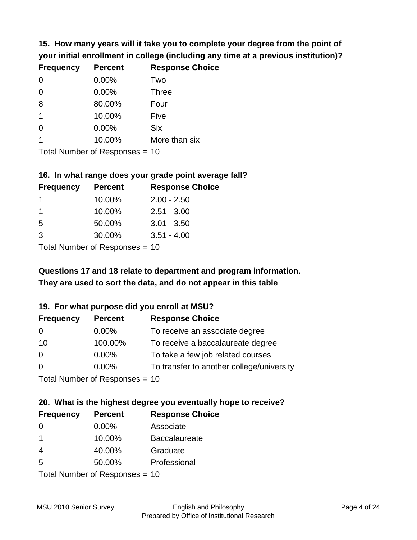**15. How many years will it take you to complete your degree from the point of your initial enrollment in college (including any time at a previous institution)?**

| <b>Frequency</b> | <b>Percent</b> | <b>Response Choice</b> |
|------------------|----------------|------------------------|
| $\overline{0}$   | 0.00%          | Two                    |
| $\overline{0}$   | 0.00%          | <b>Three</b>           |
| 8                | 80.00%         | Four                   |
| $\mathbf 1$      | 10.00%         | Five                   |
| 0                | 0.00%          | <b>Six</b>             |
|                  | 10.00%         | More than six          |
|                  |                |                        |

Total Number of Responses = 10

#### **16. In what range does your grade point average fall?**

| <b>Frequency</b> | <b>Percent</b> | <b>Response Choice</b> |
|------------------|----------------|------------------------|
|                  | 10.00%         | $2.00 - 2.50$          |
|                  | 10.00%         | $2.51 - 3.00$          |
| -5               | 50.00%         | $3.01 - 3.50$          |
| 3                | 30.00%         | $3.51 - 4.00$          |
|                  |                |                        |

Total Number of Responses = 10

## **They are used to sort the data, and do not appear in this table Questions 17 and 18 relate to department and program information.**

### **19. For what purpose did you enroll at MSU?**

| <b>Frequency</b> | <b>Percent</b>                  | <b>Response Choice</b>                    |
|------------------|---------------------------------|-------------------------------------------|
| 0                | $0.00\%$                        | To receive an associate degree            |
| 10               | 100.00%                         | To receive a baccalaureate degree         |
| $\overline{0}$   | 0.00%                           | To take a few job related courses         |
| $\Omega$         | $0.00\%$                        | To transfer to another college/university |
|                  | Total Number of Responses $-10$ |                                           |

Total Indifficer of Responses =  $10$ 

# **20. What is the highest degree you eventually hope to receive?**

| <b>Frequency</b> | <b>Percent</b>            | <b>Response Choice</b> |
|------------------|---------------------------|------------------------|
| 0                | $0.00\%$                  | Associate              |
| $\mathbf 1$      | 10.00%                    | <b>Baccalaureate</b>   |
| $\overline{4}$   | 40.00%                    | Graduate               |
| 5                | 50.00%                    | Professional           |
|                  | Total Number of Desponses |                        |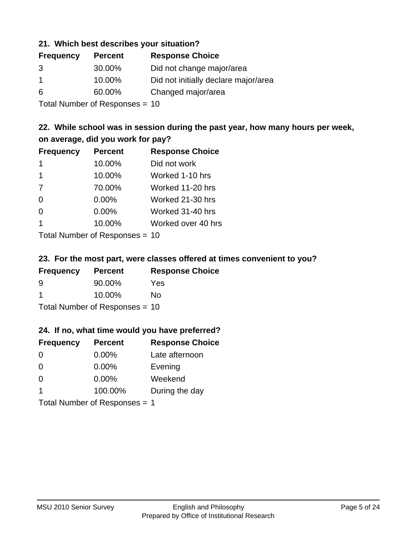### **21. Which best describes your situation?**

| <b>Frequency</b> | <b>Percent</b> | <b>Response Choice</b>               |
|------------------|----------------|--------------------------------------|
| 3                | 30.00%         | Did not change major/area            |
|                  | 10.00%         | Did not initially declare major/area |
| 6                | 60.00%         | Changed major/area                   |
|                  |                |                                      |

Total Number of Responses = 10

## **22. While school was in session during the past year, how many hours per week, on average, did you work for pay?**

| <b>Frequency</b> | <b>Percent</b> | <b>Response Choice</b> |
|------------------|----------------|------------------------|
| -1               | 10.00%         | Did not work           |
| 1                | 10.00%         | Worked 1-10 hrs        |
| 7                | 70.00%         | Worked 11-20 hrs       |
| $\Omega$         | 0.00%          | Worked 21-30 hrs       |
| $\Omega$         | 0.00%          | Worked 31-40 hrs       |
| $\mathbf 1$      | 10.00%         | Worked over 40 hrs     |
|                  |                |                        |

Total Number of Responses = 10

### **23. For the most part, were classes offered at times convenient to you?**

| <b>Frequency</b> | <b>Percent</b>                   | <b>Response Choice</b> |
|------------------|----------------------------------|------------------------|
| 9                | 90.00%                           | Yes                    |
| -1               | 10.00%                           | Nο                     |
|                  | Total Number of Responses = $10$ |                        |

### **24. If no, what time would you have preferred?**

| <b>Frequency</b>              | <b>Percent</b> | <b>Response Choice</b> |
|-------------------------------|----------------|------------------------|
| $\Omega$                      | $0.00\%$       | Late afternoon         |
| $\Omega$                      | $0.00\%$       | Evening                |
| $\Omega$                      | $0.00\%$       | Weekend                |
| $\overline{\mathbf{1}}$       | 100.00%        | During the day         |
| Total Number of Responses = 1 |                |                        |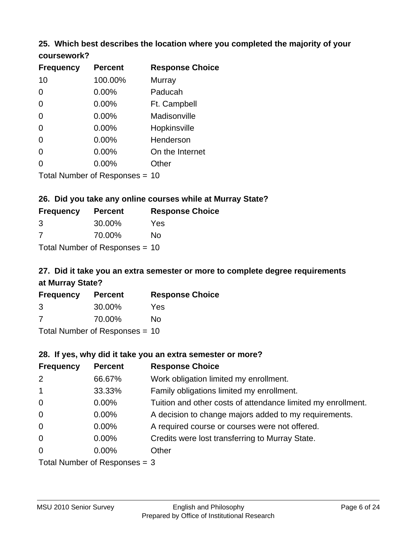# **25. Which best describes the location where you completed the majority of your**

| coursework? |  |
|-------------|--|
|-------------|--|

| <b>Frequency</b> | <b>Percent</b>                 | <b>Response Choice</b> |
|------------------|--------------------------------|------------------------|
| 10               | 100.00%                        | Murray                 |
| 0                | 0.00%                          | Paducah                |
| 0                | 0.00%                          | Ft. Campbell           |
| 0                | 0.00%                          | Madisonville           |
| 0                | 0.00%                          | Hopkinsville           |
| 0                | 0.00%                          | Henderson              |
| 0                | 0.00%                          | On the Internet        |
| 0                | 0.00%                          | Other                  |
|                  | Total Number of Responses = 10 |                        |

## **26. Did you take any online courses while at Murray State?**

| <b>Frequency</b> | <b>Percent</b>                 | <b>Response</b> |
|------------------|--------------------------------|-----------------|
| 3                | 30.00%                         | Yes             |
| -7               | 70.00%                         | No              |
|                  | Total Number of Responses = 10 |                 |

# **27. Did it take you an extra semester or more to complete degree requirements at Murray State?**

**Choice** 

| <b>Frequency</b> | <b>Percent</b>                   | <b>Response Choice</b> |
|------------------|----------------------------------|------------------------|
| 3                | 30.00%                           | Yes                    |
| 7                | 70.00%                           | No                     |
|                  | Total Number of Responses $= 10$ |                        |

**28. If yes, why did it take you an extra semester or more?**

| <b>Frequency</b> | <b>Percent</b>                  | <b>Response Choice</b>                                       |
|------------------|---------------------------------|--------------------------------------------------------------|
| 2                | 66.67%                          | Work obligation limited my enrollment.                       |
| $\mathbf{1}$     | 33.33%                          | Family obligations limited my enrollment.                    |
| $\mathbf 0$      | 0.00%                           | Tuition and other costs of attendance limited my enrollment. |
| $\mathbf 0$      | 0.00%                           | A decision to change majors added to my requirements.        |
| $\mathbf 0$      | 0.00%                           | A required course or courses were not offered.               |
| $\mathbf 0$      | 0.00%                           | Credits were lost transferring to Murray State.              |
| $\overline{0}$   | $0.00\%$                        | Other                                                        |
|                  | Total Number of Responses $=$ 3 |                                                              |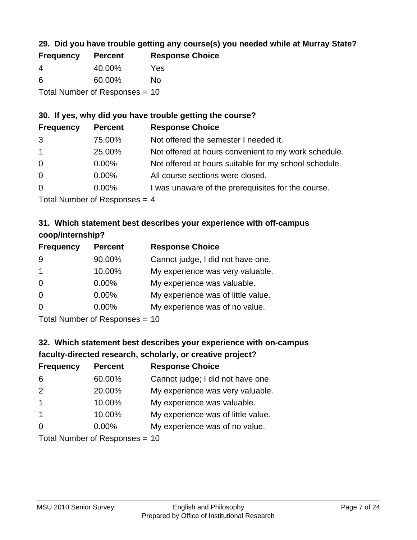## **29. Did you have trouble getting any course(s) you needed while at Murray State?**

| <b>Frequency</b> | <b>Percent</b>                 | <b>Response Choice</b> |
|------------------|--------------------------------|------------------------|
| -4               | 40.00%                         | Yes                    |
| -6               | 60.00%                         | Nο                     |
|                  | Total Number of Responses = 10 |                        |

## **30. If yes, why did you have trouble getting the course?**

| <b>Frequency</b> | <b>Percent</b>                                                                                                     | <b>Response Choice</b>                                |
|------------------|--------------------------------------------------------------------------------------------------------------------|-------------------------------------------------------|
| 3                | 75.00%                                                                                                             | Not offered the semester I needed it.                 |
| $\overline{1}$   | 25.00%                                                                                                             | Not offered at hours convenient to my work schedule.  |
| $\overline{0}$   | $0.00\%$                                                                                                           | Not offered at hours suitable for my school schedule. |
| $\overline{0}$   | $0.00\%$                                                                                                           | All course sections were closed.                      |
| $\overline{0}$   | $0.00\%$                                                                                                           | I was unaware of the prerequisites for the course.    |
|                  | $\tau$ . The state of $\sim$ 1 and 1 and 1 and 1 and 1 and 1 and 1 and 1 and 1 and 1 and 1 and 1 and 1 and 1 and 1 |                                                       |

Total Number of Responses = 4

## **31. Which statement best describes your experience with off-campus coop/internship?**

| <b>Frequency</b> | <b>Percent</b> | <b>Response Choice</b>             |
|------------------|----------------|------------------------------------|
| 9                | 90.00%         | Cannot judge, I did not have one.  |
| $\mathbf 1$      | 10.00%         | My experience was very valuable.   |
| $\Omega$         | $0.00\%$       | My experience was valuable.        |
| $\Omega$         | 0.00%          | My experience was of little value. |
| $\Omega$         | 0.00%          | My experience was of no value.     |
|                  |                |                                    |

Total Number of Responses = 10

# **32. Which statement best describes your experience with on-campus faculty-directed research, scholarly, or creative project?**

| <b>Frequency</b> | <b>Percent</b>                 | <b>Response Choice</b>             |
|------------------|--------------------------------|------------------------------------|
| 6                | 60.00%                         | Cannot judge; I did not have one.  |
| 2                | 20.00%                         | My experience was very valuable.   |
| $\overline{1}$   | 10.00%                         | My experience was valuable.        |
| $\overline{1}$   | 10.00%                         | My experience was of little value. |
| $\Omega$         | $0.00\%$                       | My experience was of no value.     |
|                  | $Total Number of Denonce - 10$ |                                    |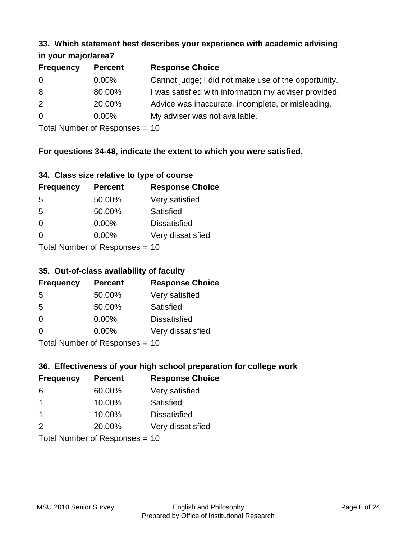#### **33. Which statement best describes your experience with academic advising in your major/area?**

| $\cdots$ your mapproved. |                |                                                       |
|--------------------------|----------------|-------------------------------------------------------|
| <b>Frequency</b>         | <b>Percent</b> | <b>Response Choice</b>                                |
| 0                        | $0.00\%$       | Cannot judge; I did not make use of the opportunity.  |
| 8                        | 80.00%         | I was satisfied with information my adviser provided. |
| 2                        | 20.00%         | Advice was inaccurate, incomplete, or misleading.     |
| 0                        | $0.00\%$       | My adviser was not available.                         |
|                          |                |                                                       |

Total Number of Responses = 10

## **For questions 34-48, indicate the extent to which you were satisfied.**

| 34. Class size relative to type of course |  |  |  |  |  |  |  |  |
|-------------------------------------------|--|--|--|--|--|--|--|--|
|-------------------------------------------|--|--|--|--|--|--|--|--|

| <b>Frequency</b> | <b>Percent</b>                 | <b>Response Choice</b> |
|------------------|--------------------------------|------------------------|
| -5               | 50.00%                         | Very satisfied         |
| .5               | 50.00%                         | Satisfied              |
| $\Omega$         | 0.00%                          | <b>Dissatisfied</b>    |
| $\Omega$         | $0.00\%$                       | Very dissatisfied      |
|                  | Total Number of Reconnege - 10 |                        |

Total Number of Responses = 10

### **35. Out-of-class availability of faculty**

| <b>Frequency</b> | <b>Percent</b>           | <b>Response Choice</b> |
|------------------|--------------------------|------------------------|
| 5                | 50.00%                   | Very satisfied         |
| 5                | 50.00%                   | Satisfied              |
| $\Omega$         | $0.00\%$                 | <b>Dissatisfied</b>    |
| $\Omega$         | $0.00\%$                 | Very dissatisfied      |
|                  | Total Number of DoEROR 0 |                        |

Total Number of Responses = 10

## **36. Effectiveness of your high school preparation for college work**

| <b>Frequency</b>               | <b>Percent</b> | <b>Response Choice</b> |  |  |
|--------------------------------|----------------|------------------------|--|--|
| 6                              | 60.00%         | Very satisfied         |  |  |
| -1                             | 10.00%         | Satisfied              |  |  |
| -1                             | 10.00%         | <b>Dissatisfied</b>    |  |  |
| $\mathcal{P}$                  | 20.00%         | Very dissatisfied      |  |  |
| $Total Number of Denonce - 10$ |                |                        |  |  |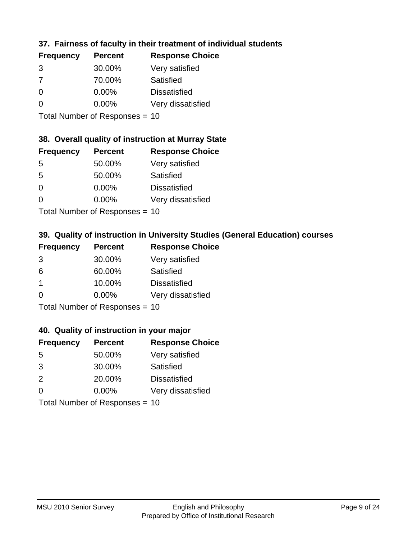## **37. Fairness of faculty in their treatment of individual students**

| <b>Frequency</b> | <b>Percent</b> | <b>Response Choice</b> |
|------------------|----------------|------------------------|
| 3                | 30.00%         | Very satisfied         |
| 7                | 70.00%         | Satisfied              |
| $\Omega$         | $0.00\%$       | <b>Dissatisfied</b>    |
| ∩                | 0.00%          | Very dissatisfied      |
|                  |                |                        |

Total Number of Responses = 10

## **38. Overall quality of instruction at Murray State**

| <b>Frequency</b> | <b>Percent</b>                                    | <b>Response Choice</b> |
|------------------|---------------------------------------------------|------------------------|
| 5                | 50.00%                                            | Very satisfied         |
| 5                | 50.00%                                            | Satisfied              |
| $\Omega$         | 0.00%                                             | <b>Dissatisfied</b>    |
| $\Omega$         | 0.00%                                             | Very dissatisfied      |
|                  | $T$ at all Matters because of $D$ are a second on |                        |

Total Number of Responses = 10

## **39. Quality of instruction in University Studies (General Education) courses**

| <b>Frequency</b> | <b>Percent</b>             | <b>Response Choice</b> |
|------------------|----------------------------|------------------------|
| 3                | 30.00%                     | Very satisfied         |
| 6                | 60.00%                     | Satisfied              |
| $\mathbf 1$      | 10.00%                     | <b>Dissatisfied</b>    |
| $\Omega$         | 0.00%                      | Very dissatisfied      |
|                  | Total Number of Denonone – |                        |

Total Number of Responses = 10

### **40. Quality of instruction in your major**

| <b>Frequency</b> | <b>Percent</b>              | <b>Response Choice</b> |
|------------------|-----------------------------|------------------------|
| 5                | 50.00%                      | Very satisfied         |
| 3                | 30.00%                      | Satisfied              |
| 2                | 20.00%                      | <b>Dissatisfied</b>    |
| $\Omega$         | $0.00\%$                    | Very dissatisfied      |
|                  | Tatal Massakan af Dagmannar |                        |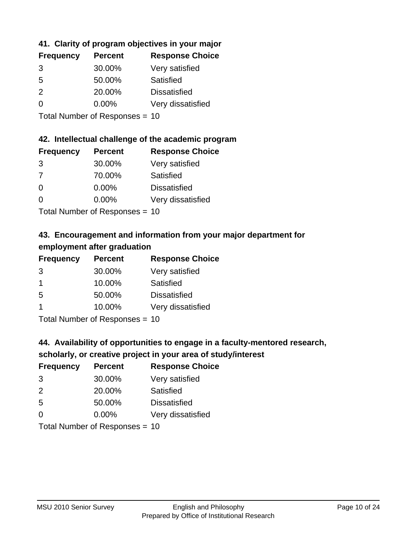## **41. Clarity of program objectives in your major**

| <b>Frequency</b> | <b>Percent</b> | <b>Response Choice</b> |
|------------------|----------------|------------------------|
| 3                | 30.00%         | Very satisfied         |
| .5               | 50.00%         | Satisfied              |
| $\mathcal{P}$    | 20.00%         | <b>Dissatisfied</b>    |
|                  | $0.00\%$       | Very dissatisfied      |
|                  |                |                        |

Total Number of Responses = 10

### **42. Intellectual challenge of the academic program**

| <b>Frequency</b> | <b>Percent</b> | <b>Response Choice</b> |
|------------------|----------------|------------------------|
| 3                | 30.00%         | Very satisfied         |
| 7                | 70.00%         | Satisfied              |
| $\Omega$         | 0.00%          | <b>Dissatisfied</b>    |
| $\Omega$         | 0.00%          | Very dissatisfied      |
|                  |                |                        |

Total Number of Responses = 10

## **43. Encouragement and information from your major department for employment after graduation**

| <b>Frequency</b> | <b>Percent</b> | <b>Response Choice</b> |
|------------------|----------------|------------------------|
| 3                | 30.00%         | Very satisfied         |
| $\mathbf 1$      | 10.00%         | Satisfied              |
| 5                | 50.00%         | <b>Dissatisfied</b>    |
| -1               | 10.00%         | Very dissatisfied      |
|                  |                |                        |

Total Number of Responses = 10

# **44. Availability of opportunities to engage in a faculty-mentored research,**

## **scholarly, or creative project in your area of study/interest**

| <b>Frequency</b> | <b>Percent</b>              | <b>Response Choice</b> |
|------------------|-----------------------------|------------------------|
| 3                | 30.00%                      | Very satisfied         |
| $\mathcal{P}$    | 20.00%                      | Satisfied              |
| 5                | 50.00%                      | <b>Dissatisfied</b>    |
| $\Omega$         | 0.00%                       | Very dissatisfied      |
|                  | Tatal Massakan af Dagmannar |                        |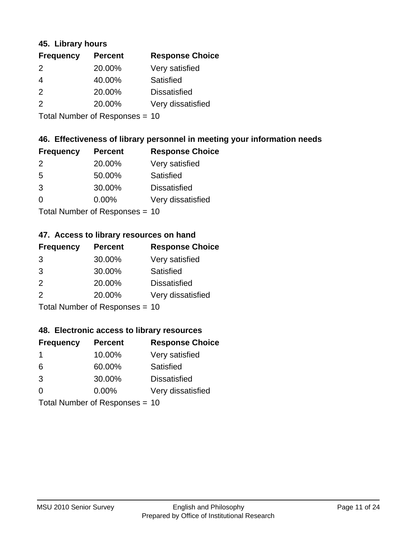### **45. Library hours**

| <b>Frequency</b> | <b>Percent</b> | <b>Response Choice</b> |
|------------------|----------------|------------------------|
| 2                | 20.00%         | Very satisfied         |
| $\overline{4}$   | 40.00%         | Satisfied              |
| 2                | 20.00%         | <b>Dissatisfied</b>    |
| 2                | 20.00%         | Very dissatisfied      |
|                  |                |                        |

Total Number of Responses = 10

### **46. Effectiveness of library personnel in meeting your information needs**

| <b>Frequency</b> | <b>Percent</b> | <b>Response Choice</b> |
|------------------|----------------|------------------------|
| $\mathcal{P}$    | 20.00%         | Very satisfied         |
| .5               | 50.00%         | Satisfied              |
| 3                | 30.00%         | <b>Dissatisfied</b>    |
| $\Omega$         | 0.00%          | Very dissatisfied      |
|                  |                |                        |

Total Number of Responses = 10

### **47. Access to library resources on hand**

| <b>Frequency</b> | <b>Percent</b>             | <b>Response Choice</b> |
|------------------|----------------------------|------------------------|
| 3                | 30.00%                     | Very satisfied         |
| 3                | 30.00%                     | Satisfied              |
| 2                | 20.00%                     | <b>Dissatisfied</b>    |
| 2                | 20.00%                     | Very dissatisfied      |
|                  | Tetal Number of Desperance |                        |

Total Number of Responses = 10

### **48. Electronic access to library resources**

| <b>Frequency</b> | <b>Percent</b>                 | <b>Response Choice</b> |
|------------------|--------------------------------|------------------------|
| $\mathbf 1$      | 10.00%                         | Very satisfied         |
| 6                | 60.00%                         | Satisfied              |
| 3                | 30.00%                         | <b>Dissatisfied</b>    |
| $\Omega$         | $0.00\%$                       | Very dissatisfied      |
|                  | Total Number of Responses = 10 |                        |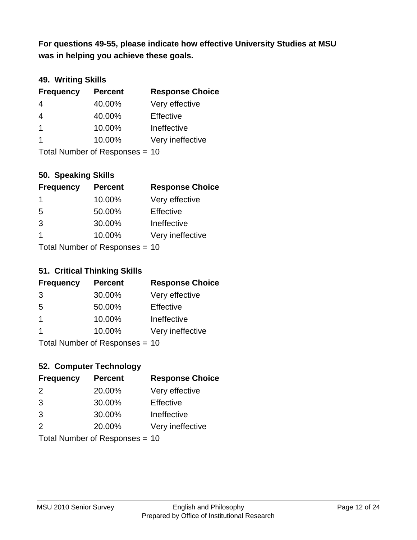**was in helping you achieve these goals. For questions 49-55, please indicate how effective University Studies at MSU** 

## **49. Writing Skills**

| <b>Frequency</b>        | <b>Percent</b>                 | <b>Response Choice</b> |
|-------------------------|--------------------------------|------------------------|
| $\overline{4}$          | 40.00%                         | Very effective         |
| $\overline{4}$          | 40.00%                         | Effective              |
| $\overline{1}$          | 10.00%                         | Ineffective            |
| $\overline{\mathbf{1}}$ | 10.00%                         | Very ineffective       |
|                         | Total Number of Responses = 10 |                        |

### **50. Speaking Skills**

| <b>Frequency</b>               | <b>Percent</b> | <b>Response Choice</b> |
|--------------------------------|----------------|------------------------|
| -1                             | 10.00%         | Very effective         |
| 5                              | 50.00%         | Effective              |
| 3                              | 30.00%         | Ineffective            |
| $\overline{1}$                 | 10.00%         | Very ineffective       |
| Total Number of Poenances - 10 |                |                        |

Total Number of Responses = 10

### **51. Critical Thinking Skills**

| <b>Frequency</b> | <b>Percent</b>            | <b>Response Choice</b> |
|------------------|---------------------------|------------------------|
| 3                | 30.00%                    | Very effective         |
| 5                | 50.00%                    | Effective              |
| $\mathbf 1$      | 10.00%                    | Ineffective            |
| -1               | 10.00%                    | Very ineffective       |
|                  | Total Number of DoEROR 0. |                        |

Total Number of Responses = 10

## **52. Computer Technology**

| <b>Frequency</b>               | <b>Percent</b> | <b>Response Choice</b> |
|--------------------------------|----------------|------------------------|
| $\mathcal{P}$                  | 20.00%         | Very effective         |
| 3                              | 30.00%         | Effective              |
| 3                              | 30.00%         | Ineffective            |
| $\mathcal{P}$                  | 20.00%         | Very ineffective       |
| Total Number of Responses = 10 |                |                        |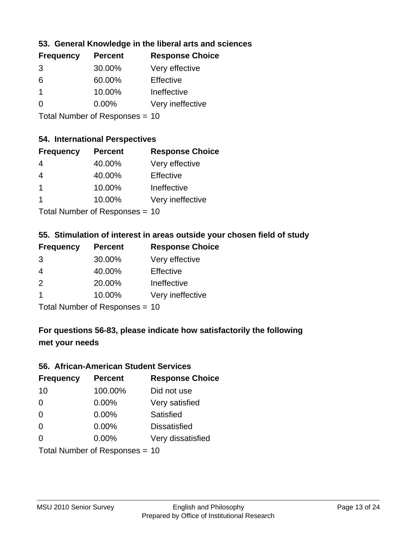## **53. General Knowledge in the liberal arts and sciences**

| <b>Frequency</b> | <b>Percent</b> | <b>Response Choice</b> |
|------------------|----------------|------------------------|
| 3                | 30.00%         | Very effective         |
| 6                | 60.00%         | Effective              |
|                  | 10.00%         | Ineffective            |
| $\Omega$         | $0.00\%$       | Very ineffective       |
|                  |                |                        |

Total Number of Responses = 10

#### **54. International Perspectives**

| <b>Frequency</b>                                        | <b>Percent</b> | <b>Response Choice</b> |
|---------------------------------------------------------|----------------|------------------------|
| 4                                                       | 40.00%         | Very effective         |
| 4                                                       | 40.00%         | Effective              |
| $\overline{1}$                                          | 10.00%         | Ineffective            |
| -1                                                      | 10.00%         | Very ineffective       |
| $T$ at all Message and $R$ $\sim$ and $\sim$ and $\sim$ |                |                        |

Total Number of Responses = 10

### **55. Stimulation of interest in areas outside your chosen field of study**

| <b>Frequency</b> | <b>Percent</b>            | <b>Response Choice</b> |
|------------------|---------------------------|------------------------|
| 3                | 30.00%                    | Very effective         |
| 4                | 40.00%                    | Effective              |
| $\mathcal{P}$    | 20.00%                    | Ineffective            |
| -1               | 10.00%                    | Very ineffective       |
|                  | Total Number of Desponses |                        |

Total Number of Responses = 10

## **For questions 56-83, please indicate how satisfactorily the following met your needs**

#### **56. African-American Student Services**

| <b>Frequency</b> | <b>Percent</b>                 | <b>Response Choice</b> |
|------------------|--------------------------------|------------------------|
| 10               | 100.00%                        | Did not use            |
| $\Omega$         | 0.00%                          | Very satisfied         |
| $\Omega$         | 0.00%                          | Satisfied              |
| $\Omega$         | $0.00\%$                       | <b>Dissatisfied</b>    |
| $\Omega$         | 0.00%                          | Very dissatisfied      |
|                  | Total Number of Responses = 10 |                        |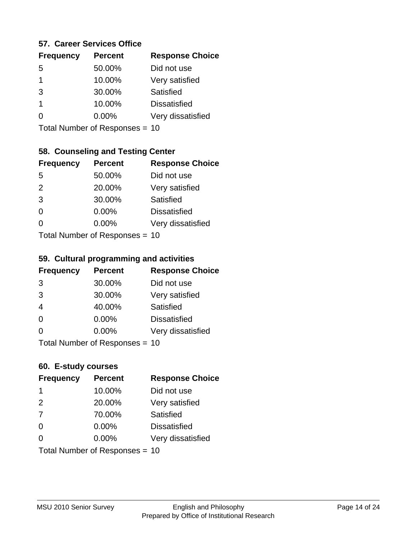### **57. Career Services Office**

| <b>Frequency</b> | <b>Percent</b> | <b>Response Choice</b> |
|------------------|----------------|------------------------|
| .5               | 50.00%         | Did not use            |
| 1                | 10.00%         | Very satisfied         |
| 3                | 30.00%         | Satisfied              |
| 1                | 10.00%         | <b>Dissatisfied</b>    |
|                  | $0.00\%$       | Very dissatisfied      |
|                  |                |                        |

Total Number of Responses = 10

### **58. Counseling and Testing Center**

| <b>Frequency</b>          | <b>Percent</b> | <b>Response Choice</b> |
|---------------------------|----------------|------------------------|
| -5                        | 50.00%         | Did not use            |
| 2                         | 20.00%         | Very satisfied         |
| 3                         | 30.00%         | Satisfied              |
| $\Omega$                  | 0.00%          | <b>Dissatisfied</b>    |
| ∩                         | 0.00%          | Very dissatisfied      |
| Total Number of Desponses |                |                        |

Total Number of Responses = 10

#### **59. Cultural programming and activities**

| <b>Frequency</b> | <b>Percent</b>                | <b>Response Choice</b> |
|------------------|-------------------------------|------------------------|
| 3                | 30.00%                        | Did not use            |
| 3                | 30.00%                        | Very satisfied         |
| $\overline{4}$   | 40.00%                        | Satisfied              |
| $\Omega$         | 0.00%                         | <b>Dissatisfied</b>    |
| $\Omega$         | $0.00\%$                      | Very dissatisfied      |
|                  | $Total Number of Doepopoog -$ |                        |

Total Number of Responses = 10

### **60. E-study courses**

| <b>Frequency</b> | <b>Percent</b>                 | <b>Response Choice</b> |
|------------------|--------------------------------|------------------------|
| -1               | 10.00%                         | Did not use            |
| 2                | 20.00%                         | Very satisfied         |
| 7                | 70.00%                         | Satisfied              |
| $\Omega$         | $0.00\%$                       | <b>Dissatisfied</b>    |
| $\Omega$         | $0.00\%$                       | Very dissatisfied      |
|                  | Total Number of Responses = 10 |                        |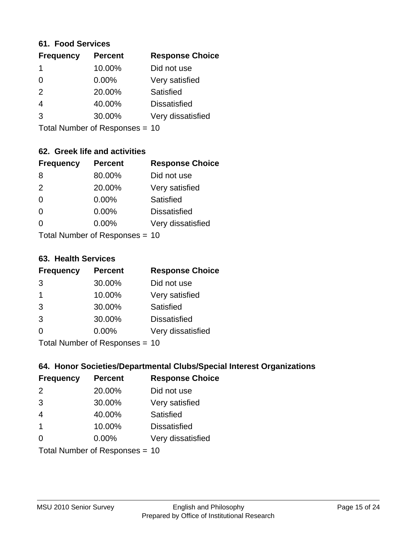#### **61. Food Services**

| <b>Frequency</b> | <b>Percent</b> | <b>Response Choice</b> |
|------------------|----------------|------------------------|
|                  | 10.00%         | Did not use            |
| $\Omega$         | $0.00\%$       | Very satisfied         |
| 2                | 20.00%         | Satisfied              |
| 4                | 40.00%         | <b>Dissatisfied</b>    |
| 3                | 30.00%         | Very dissatisfied      |
|                  |                |                        |

Total Number of Responses = 10

## **62. Greek life and activities**

| <b>Frequency</b> | <b>Percent</b>                 | <b>Response Choice</b> |
|------------------|--------------------------------|------------------------|
| 8                | 80.00%                         | Did not use            |
| 2                | 20.00%                         | Very satisfied         |
| $\Omega$         | 0.00%                          | <b>Satisfied</b>       |
| $\Omega$         | 0.00%                          | <b>Dissatisfied</b>    |
| 0                | $0.00\%$                       | Very dissatisfied      |
|                  | Total Number of Responses = 10 |                        |

**63. Health Services**

| <b>Frequency</b> | <b>Percent</b>             | <b>Response Choice</b> |
|------------------|----------------------------|------------------------|
| 3                | 30.00%                     | Did not use            |
| -1               | 10.00%                     | Very satisfied         |
| 3                | 30.00%                     | Satisfied              |
| 3                | 30.00%                     | <b>Dissatisfied</b>    |
| $\Omega$         | $0.00\%$                   | Very dissatisfied      |
|                  | Total Number of Desperance |                        |

Total Number of Responses = 10

## **64. Honor Societies/Departmental Clubs/Special Interest Organizations**

| <b>Frequency</b> | <b>Percent</b>                 | <b>Response Choice</b> |
|------------------|--------------------------------|------------------------|
| 2                | 20.00%                         | Did not use            |
| 3                | 30.00%                         | Very satisfied         |
| $\overline{4}$   | 40.00%                         | Satisfied              |
| $\overline{1}$   | 10.00%                         | <b>Dissatisfied</b>    |
| $\Omega$         | 0.00%                          | Very dissatisfied      |
|                  | Total Number of Responses = 10 |                        |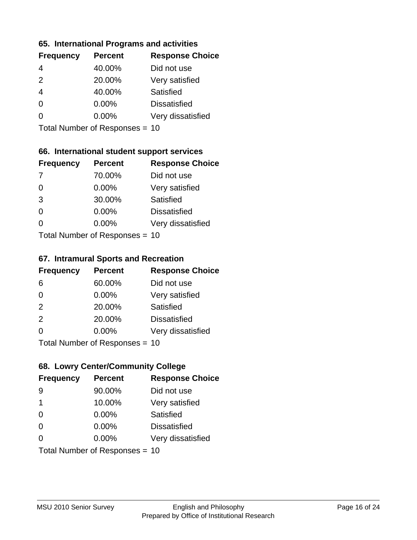### **65. International Programs and activities**

| <b>Frequency</b> | <b>Percent</b> | <b>Response Choice</b> |
|------------------|----------------|------------------------|
| 4                | 40.00%         | Did not use            |
| $\mathcal{P}$    | 20.00%         | Very satisfied         |
| 4                | 40.00%         | Satisfied              |
| ∩                | 0.00%          | <b>Dissatisfied</b>    |
|                  | $0.00\%$       | Very dissatisfied      |
|                  |                |                        |

Total Number of Responses = 10

## **66. International student support services**

| <b>Frequency</b> | <b>Percent</b>            | <b>Response Choice</b> |
|------------------|---------------------------|------------------------|
| -7               | 70.00%                    | Did not use            |
| $\Omega$         | 0.00%                     | Very satisfied         |
| 3                | 30.00%                    | <b>Satisfied</b>       |
| $\Omega$         | 0.00%                     | <b>Dissatisfied</b>    |
| ∩                | 0.00%                     | Very dissatisfied      |
|                  | Total Number of Desponses |                        |

Total Number of Responses = 10

#### **67. Intramural Sports and Recreation**

| <b>Frequency</b> | <b>Percent</b>                  | <b>Response Choice</b> |
|------------------|---------------------------------|------------------------|
| 6                | 60.00%                          | Did not use            |
| $\Omega$         | $0.00\%$                        | Very satisfied         |
| 2                | 20.00%                          | <b>Satisfied</b>       |
| 2                | 20.00%                          | <b>Dissatisfied</b>    |
| $\Omega$         | $0.00\%$                        | Very dissatisfied      |
|                  | $Total Number of Denonose = 10$ |                        |

Total Number of Responses = 10

## **68. Lowry Center/Community College**

| <b>Frequency</b> | <b>Percent</b>                 | <b>Response Choice</b> |
|------------------|--------------------------------|------------------------|
| 9                | 90.00%                         | Did not use            |
| 1                | 10.00%                         | Very satisfied         |
| $\Omega$         | 0.00%                          | Satisfied              |
| $\Omega$         | 0.00%                          | <b>Dissatisfied</b>    |
| 0                | $0.00\%$                       | Very dissatisfied      |
|                  | Total Number of Responses = 10 |                        |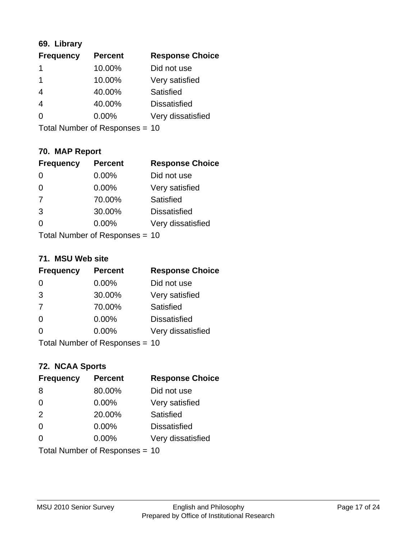## **69. Library**

| <b>Frequency</b> | <b>Percent</b> | <b>Response Choice</b> |
|------------------|----------------|------------------------|
|                  | 10.00%         | Did not use            |
| 1                | 10.00%         | Very satisfied         |
| 4                | 40.00%         | Satisfied              |
| $\overline{4}$   | 40.00%         | <b>Dissatisfied</b>    |
| 0                | $0.00\%$       | Very dissatisfied      |
|                  |                |                        |

Total Number of Responses = 10

## **70. MAP Report**

| <b>Frequency</b> | <b>Percent</b>                 | <b>Response Choice</b> |
|------------------|--------------------------------|------------------------|
|                  | 0.00%                          | Did not use            |
| $\overline{0}$   | 0.00%                          | Very satisfied         |
| 7                | 70.00%                         | Satisfied              |
| 3                | 30.00%                         | <b>Dissatisfied</b>    |
| 0                | $0.00\%$                       | Very dissatisfied      |
|                  | Total Number of Responses = 10 |                        |

#### **71. MSU Web site**

| <b>Frequency</b> | <b>Percent</b>                 | <b>Response Choice</b> |
|------------------|--------------------------------|------------------------|
| $\Omega$         | 0.00%                          | Did not use            |
| 3                | 30.00%                         | Very satisfied         |
| 7                | 70.00%                         | Satisfied              |
| $\Omega$         | 0.00%                          | <b>Dissatisfied</b>    |
| $\Omega$         | 0.00%                          | Very dissatisfied      |
|                  | Total Number of Responses = 10 |                        |

## **72. NCAA Sports**

| <b>Frequency</b> | <b>Percent</b>                 | <b>Response Choice</b> |
|------------------|--------------------------------|------------------------|
| 8                | 80.00%                         | Did not use            |
| $\Omega$         | 0.00%                          | Very satisfied         |
| 2                | 20.00%                         | Satisfied              |
| 0                | 0.00%                          | <b>Dissatisfied</b>    |
| $\Omega$         | 0.00%                          | Very dissatisfied      |
|                  | Total Number of Responses = 10 |                        |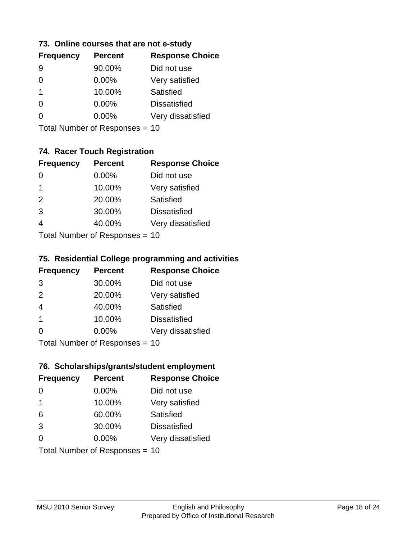### **73. Online courses that are not e-study**

| <b>Frequency</b> | <b>Percent</b> | <b>Response Choice</b> |
|------------------|----------------|------------------------|
|                  | 90.00%         | Did not use            |
|                  | $0.00\%$       | Very satisfied         |
| 1.               | 10.00%         | Satisfied              |
|                  | 0.00%          | <b>Dissatisfied</b>    |
|                  | $0.00\%$       | Very dissatisfied      |
|                  |                |                        |

Total Number of Responses = 10

## **74. Racer Touch Registration**

| <b>Frequency</b>          | <b>Percent</b> | <b>Response Choice</b> |
|---------------------------|----------------|------------------------|
| ∩                         | 0.00%          | Did not use            |
| 1                         | 10.00%         | Very satisfied         |
| 2                         | 20.00%         | <b>Satisfied</b>       |
| 3                         | 30.00%         | <b>Dissatisfied</b>    |
| 4                         | 40.00%         | Very dissatisfied      |
| Total Number of Desponses |                |                        |

Total Number of Responses = 10

### **75. Residential College programming and activities**

| <b>Frequency</b> | <b>Percent</b>            | <b>Response Choice</b> |
|------------------|---------------------------|------------------------|
| 3                | 30.00%                    | Did not use            |
| 2                | 20.00%                    | Very satisfied         |
| $\overline{4}$   | 40.00%                    | Satisfied              |
| -1               | 10.00%                    | <b>Dissatisfied</b>    |
| $\Omega$         | 0.00%                     | Very dissatisfied      |
|                  | Total Number of Desponses |                        |

Total Number of Responses = 10

### **76. Scholarships/grants/student employment**

| <b>Frequency</b> | <b>Percent</b>                 | <b>Response Choice</b> |
|------------------|--------------------------------|------------------------|
| $\Omega$         | 0.00%                          | Did not use            |
| $\overline{1}$   | 10.00%                         | Very satisfied         |
| 6                | 60.00%                         | Satisfied              |
| 3                | 30.00%                         | <b>Dissatisfied</b>    |
| $\Omega$         | $0.00\%$                       | Very dissatisfied      |
|                  | Total Number of Responses = 10 |                        |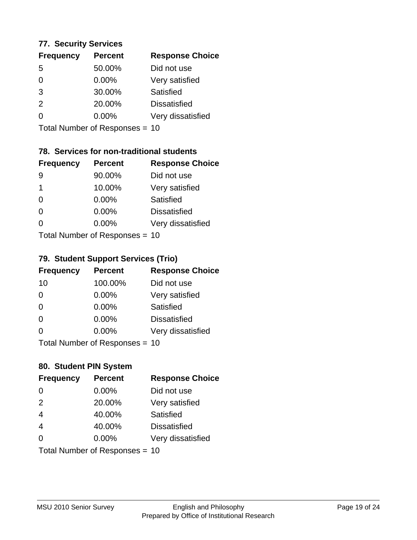### **77. Security Services**

| <b>Frequency</b> | <b>Percent</b> | <b>Response Choice</b> |
|------------------|----------------|------------------------|
| .5               | 50.00%         | Did not use            |
| 0                | $0.00\%$       | Very satisfied         |
| 3                | 30.00%         | Satisfied              |
| $\mathcal{P}$    | 20.00%         | <b>Dissatisfied</b>    |
|                  | $0.00\%$       | Very dissatisfied      |
|                  |                |                        |

Total Number of Responses = 10

## **78. Services for non-traditional students**

| <b>Frequency</b>          | <b>Percent</b> | <b>Response Choice</b> |
|---------------------------|----------------|------------------------|
| 9                         | 90.00%         | Did not use            |
| 1                         | 10.00%         | Very satisfied         |
| $\Omega$                  | $0.00\%$       | Satisfied              |
| $\Omega$                  | 0.00%          | <b>Dissatisfied</b>    |
| 0                         | 0.00%          | Very dissatisfied      |
| Total Number of Desponses |                |                        |

Total Number of Responses = 10

## **79. Student Support Services (Trio)**

| <b>Frequency</b> | <b>Percent</b>                  | <b>Response Choice</b> |
|------------------|---------------------------------|------------------------|
| 10               | 100.00%                         | Did not use            |
| $\Omega$         | 0.00%                           | Very satisfied         |
| $\Omega$         | 0.00%                           | Satisfied              |
| $\Omega$         | 0.00%                           | <b>Dissatisfied</b>    |
| $\Omega$         | 0.00%                           | Very dissatisfied      |
|                  | $Total Number of Denonose = 10$ |                        |

Total Number of Responses = 10

## **80. Student PIN System**

| <b>Frequency</b> | <b>Percent</b>                 | <b>Response Choice</b> |
|------------------|--------------------------------|------------------------|
| 0                | 0.00%                          | Did not use            |
| 2                | 20.00%                         | Very satisfied         |
| $\overline{4}$   | 40.00%                         | Satisfied              |
| $\overline{4}$   | 40.00%                         | <b>Dissatisfied</b>    |
| $\Omega$         | $0.00\%$                       | Very dissatisfied      |
|                  | Total Number of Responses = 10 |                        |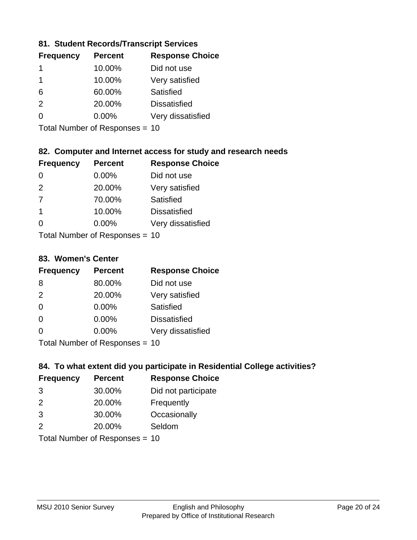## **81. Student Records/Transcript Services**

| <b>Frequency</b> | <b>Percent</b> | <b>Response Choice</b> |
|------------------|----------------|------------------------|
|                  | 10.00%         | Did not use            |
|                  | 10.00%         | Very satisfied         |
| 6                | 60.00%         | Satisfied              |
| $\mathcal{P}$    | 20.00%         | <b>Dissatisfied</b>    |
| ∩                | $0.00\%$       | Very dissatisfied      |

Total Number of Responses = 10

## **82. Computer and Internet access for study and research needs**

| <b>Frequency</b> | <b>Percent</b>            | <b>Response Choice</b> |
|------------------|---------------------------|------------------------|
| 0                | 0.00%                     | Did not use            |
| 2                | 20.00%                    | Very satisfied         |
| -7               | 70.00%                    | <b>Satisfied</b>       |
| 1                | 10.00%                    | <b>Dissatisfied</b>    |
| ∩                | 0.00%                     | Very dissatisfied      |
|                  | Total Number of Desponses |                        |

Total Number of Responses = 10

### **83. Women's Center**

| <b>Frequency</b> | <b>Percent</b>            | <b>Response Choice</b> |
|------------------|---------------------------|------------------------|
| 8                | 80.00%                    | Did not use            |
| $\mathcal{P}$    | 20.00%                    | Very satisfied         |
| $\Omega$         | 0.00%                     | Satisfied              |
| $\Omega$         | 0.00%                     | <b>Dissatisfied</b>    |
| ∩                | $0.00\%$                  | Very dissatisfied      |
|                  | Total Number of Deepersee |                        |

Total Number of Responses = 10

## **84. To what extent did you participate in Residential College activities?**

| <b>Frequency</b> | <b>Percent</b>             | <b>Response Choice</b> |
|------------------|----------------------------|------------------------|
| 3                | 30.00%                     | Did not participate    |
| $\mathcal{P}$    | 20.00%                     | Frequently             |
| 3                | 30.00%                     | Occasionally           |
| $\mathcal{P}$    | 20.00%                     | Seldom                 |
|                  | Total Number of Desperance |                        |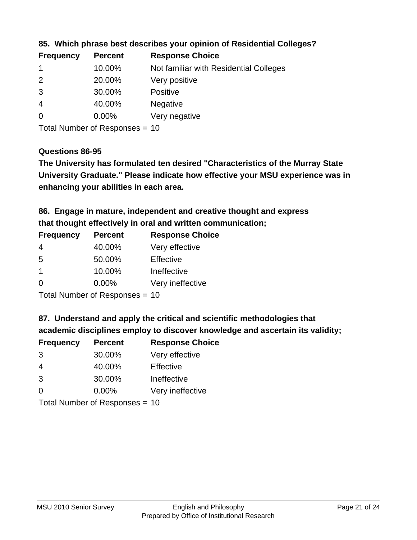| <b>Frequency</b> | <b>Percent</b> | <b>Response Choice</b>                 |
|------------------|----------------|----------------------------------------|
|                  | 10.00%         | Not familiar with Residential Colleges |
| $\overline{2}$   | 20.00%         | Very positive                          |
| 3                | 30.00%         | <b>Positive</b>                        |
| -4               | 40.00%         | <b>Negative</b>                        |
| -0               | $0.00\%$       | Very negative                          |
|                  |                |                                        |

### **85. Which phrase best describes your opinion of Residential Colleges?**

Total Number of Responses = 10

#### **Questions 86-95**

**University Graduate." Please indicate how effective your MSU experience was in The University has formulated ten desired "Characteristics of the Murray State enhancing your abilities in each area.**

**86. Engage in mature, independent and creative thought and express that thought effectively in oral and written communication;**

| <b>Percent</b> | <b>Response Choice</b> |
|----------------|------------------------|
| 40.00%         | Very effective         |
| 50.00%         | Effective              |
| 10.00%         | Ineffective            |
| $0.00\%$       | Very ineffective       |
|                |                        |

Total Number of Responses = 10

**87. Understand and apply the critical and scientific methodologies that** 

**academic disciplines employ to discover knowledge and ascertain its validity;**

| <b>Frequency</b> | <b>Percent</b>                                                                                                                                                                                                                 | <b>Response Choice</b> |
|------------------|--------------------------------------------------------------------------------------------------------------------------------------------------------------------------------------------------------------------------------|------------------------|
| 3                | 30.00%                                                                                                                                                                                                                         | Very effective         |
| 4                | 40.00%                                                                                                                                                                                                                         | Effective              |
| 3                | 30.00%                                                                                                                                                                                                                         | Ineffective            |
| $\Omega$         | 0.00%                                                                                                                                                                                                                          | Very ineffective       |
|                  | The INDIAN Contract Contract in the Contract of The Contract of The Contract of The Contract of The Contract of The Contract of The Contract of The Contract of The Contract of The Contract of The Contract of The Contract o |                        |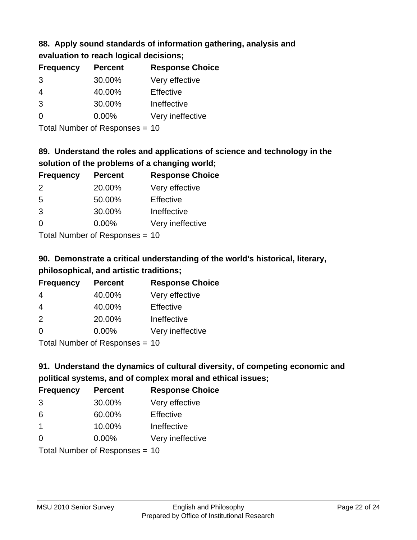### **88. Apply sound standards of information gathering, analysis and evaluation to reach logical decisions;**

| <b>Frequency</b> | <b>Percent</b> | <b>Response Choice</b> |
|------------------|----------------|------------------------|
| 3                | 30.00%         | Very effective         |
| $\overline{4}$   | 40.00%         | Effective              |
| 3                | 30.00%         | Ineffective            |
| $\Omega$         | 0.00%          | Very ineffective       |
|                  |                |                        |

Total Number of Responses = 10

## **89. Understand the roles and applications of science and technology in the solution of the problems of a changing world;**

| <b>Frequency</b> | <b>Percent</b>             | <b>Response Choice</b> |
|------------------|----------------------------|------------------------|
| 2                | 20.00%                     | Very effective         |
| 5                | 50.00%                     | Effective              |
| 3                | 30.00%                     | Ineffective            |
| $\Omega$         | 0.00%                      | Very ineffective       |
|                  | Tatal Number of Desperance |                        |

Total Number of Responses = 10

# **90. Demonstrate a critical understanding of the world's historical, literary, philosophical, and artistic traditions;**

| <b>Frequency</b> | <b>Percent</b> | <b>Response Choice</b> |
|------------------|----------------|------------------------|
| 4                | 40.00%         | Very effective         |
| $\overline{4}$   | 40.00%         | Effective              |
| 2                | 20.00%         | Ineffective            |
| $\Omega$         | 0.00%          | Very ineffective       |
|                  |                |                        |

Total Number of Responses = 10

# **91. Understand the dynamics of cultural diversity, of competing economic and political systems, and of complex moral and ethical issues;**

| <b>Frequency</b>               | <b>Percent</b> | <b>Response Choice</b> |
|--------------------------------|----------------|------------------------|
| 3                              | 30.00%         | Very effective         |
| 6                              | 60.00%         | Effective              |
| $\mathbf 1$                    | 10.00%         | Ineffective            |
| $\Omega$                       | 0.00%          | Very ineffective       |
| Total Number of Responses = 10 |                |                        |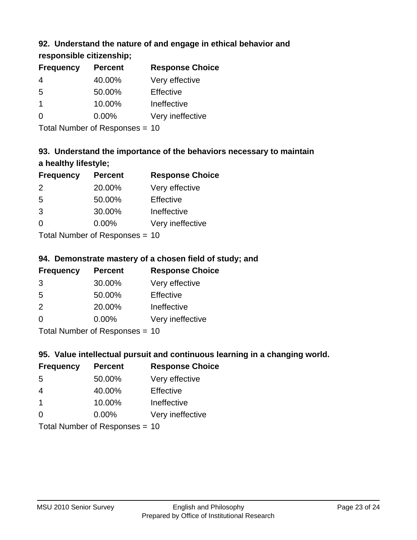## **92. Understand the nature of and engage in ethical behavior and**

## **responsible citizenship;**

| <b>Frequency</b> | <b>Percent</b> | <b>Response Choice</b> |
|------------------|----------------|------------------------|
|                  | 40.00%         | Very effective         |
| 5                | 50.00%         | Effective              |
| 1                | 10.00%         | Ineffective            |
|                  | $0.00\%$       | Very ineffective       |
|                  |                |                        |

Total Number of Responses = 10

# **93. Understand the importance of the behaviors necessary to maintain a healthy lifestyle;**

| <b>Frequency</b>           | <b>Percent</b> | <b>Response Choice</b> |
|----------------------------|----------------|------------------------|
| $\mathcal{P}$              | 20.00%         | Very effective         |
| 5                          | 50.00%         | Effective              |
| 3                          | 30.00%         | Ineffective            |
| $\Omega$                   | 0.00%          | Very ineffective       |
| Tatal Number of Desperance |                |                        |

Total Number of Responses = 10

## **94. Demonstrate mastery of a chosen field of study; and**

| <b>Frequency</b> | <b>Percent</b> | <b>Response Choice</b> |
|------------------|----------------|------------------------|
| 3                | 30.00%         | Very effective         |
| 5                | 50.00%         | Effective              |
| $\mathcal{P}$    | 20.00%         | Ineffective            |
| $\Omega$         | 0.00%          | Very ineffective       |
|                  |                |                        |

Total Number of Responses = 10

## **95. Value intellectual pursuit and continuous learning in a changing world.**

| <b>Frequency</b>           | <b>Percent</b> | <b>Response Choice</b> |
|----------------------------|----------------|------------------------|
| 5                          | 50.00%         | Very effective         |
| 4                          | 40.00%         | Effective              |
| $\mathbf 1$                | 10.00%         | Ineffective            |
| $\Omega$                   | 0.00%          | Very ineffective       |
| Tatal Number of Desperance |                |                        |